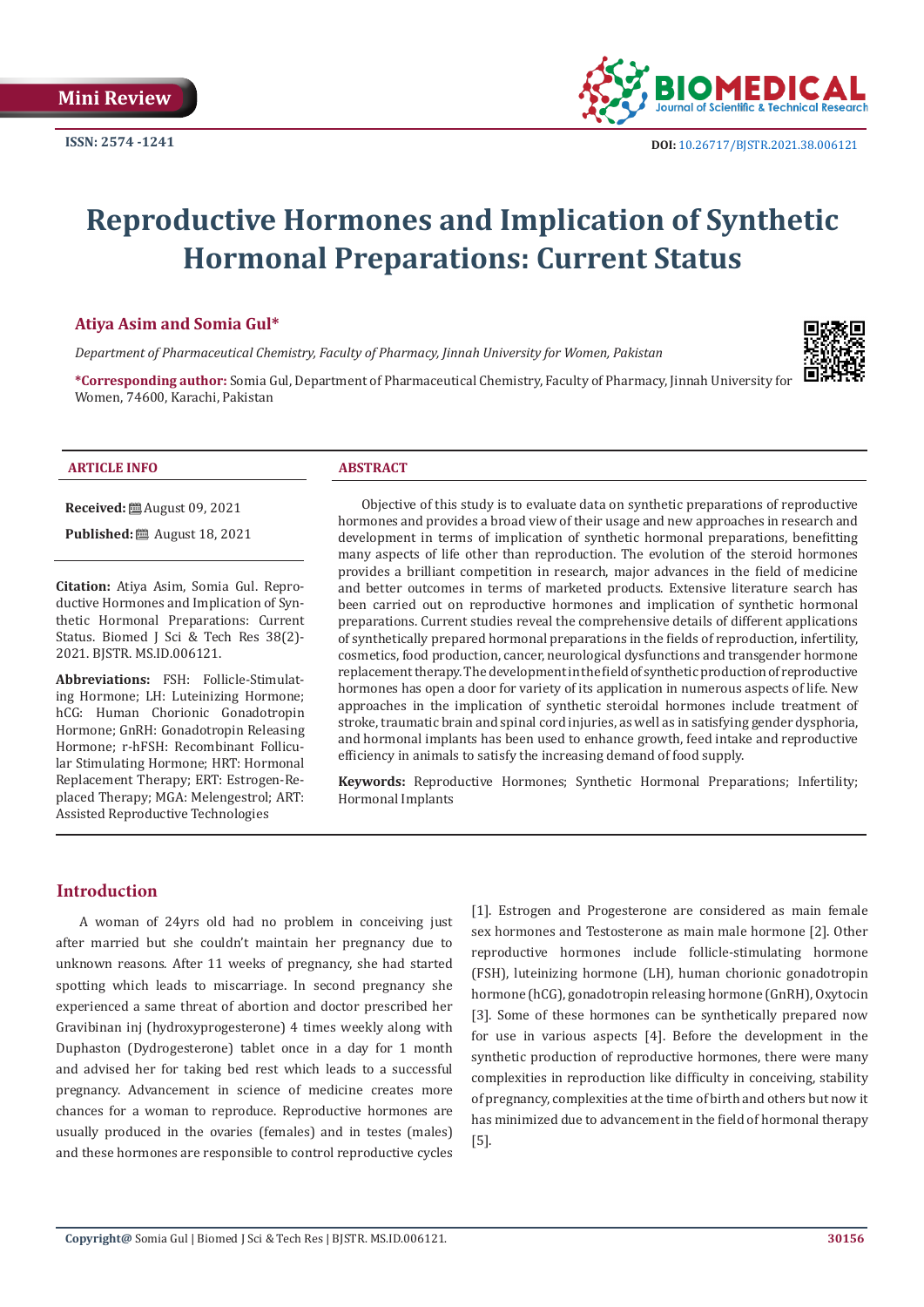**ISSN: 2574 -1241**



# **Reproductive Hormones and Implication of Synthetic Hormonal Preparations: Current Status**

## **Atiya Asim and Somia Gul\***

*Department of Pharmaceutical Chemistry, Faculty of Pharmacy, Jinnah University for Women, Pakistan*



**\*Corresponding author:** Somia Gul, Department of Pharmaceutical Chemistry, Faculty of Pharmacy, Jinnah University for Women, 74600, Karachi, Pakistan

### **ARTICLE INFO ABSTRACT**

**Received:** ■ August 09, 2021

**Published:** ■ August 18, 2021

**Citation:** Atiya Asim, Somia Gul. Reproductive Hormones and Implication of Synthetic Hormonal Preparations: Current Status. Biomed J Sci & Tech Res 38(2)- 2021. BJSTR. MS.ID.006121.

**Abbreviations:** FSH: Follicle-Stimulating Hormone; LH: Luteinizing Hormone; hCG: Human Chorionic Gonadotropin Hormone; GnRH: Gonadotropin Releasing Hormone; r-hFSH: Recombinant Follicular Stimulating Hormone; HRT: Hormonal Replacement Therapy; ERT: Estrogen-Replaced Therapy; MGA: Melengestrol; ART: Assisted Reproductive Technologies

Objective of this study is to evaluate data on synthetic preparations of reproductive hormones and provides a broad view of their usage and new approaches in research and development in terms of implication of synthetic hormonal preparations, benefitting many aspects of life other than reproduction. The evolution of the steroid hormones provides a brilliant competition in research, major advances in the field of medicine and better outcomes in terms of marketed products. Extensive literature search has been carried out on reproductive hormones and implication of synthetic hormonal preparations. Current studies reveal the comprehensive details of different applications of synthetically prepared hormonal preparations in the fields of reproduction, infertility, cosmetics, food production, cancer, neurological dysfunctions and transgender hormone replacement therapy. The development in the field of synthetic production of reproductive hormones has open a door for variety of its application in numerous aspects of life. New approaches in the implication of synthetic steroidal hormones include treatment of stroke, traumatic brain and spinal cord injuries, as well as in satisfying gender dysphoria, and hormonal implants has been used to enhance growth, feed intake and reproductive efficiency in animals to satisfy the increasing demand of food supply.

**Keywords:** Reproductive Hormones; Synthetic Hormonal Preparations; Infertility; Hormonal Implants

## **Introduction**

A woman of 24yrs old had no problem in conceiving just after married but she couldn't maintain her pregnancy due to unknown reasons. After 11 weeks of pregnancy, she had started spotting which leads to miscarriage. In second pregnancy she experienced a same threat of abortion and doctor prescribed her Gravibinan inj (hydroxyprogesterone) 4 times weekly along with Duphaston (Dydrogesterone) tablet once in a day for 1 month and advised her for taking bed rest which leads to a successful pregnancy. Advancement in science of medicine creates more chances for a woman to reproduce. Reproductive hormones are usually produced in the ovaries (females) and in testes (males) and these hormones are responsible to control reproductive cycles

[1]. Estrogen and Progesterone are considered as main female sex hormones and Testosterone as main male hormone [2]. Other reproductive hormones include follicle-stimulating hormone (FSH), luteinizing hormone (LH), human chorionic gonadotropin hormone (hCG), gonadotropin releasing hormone (GnRH), Oxytocin [3]. Some of these hormones can be synthetically prepared now for use in various aspects [4]. Before the development in the synthetic production of reproductive hormones, there were many complexities in reproduction like difficulty in conceiving, stability of pregnancy, complexities at the time of birth and others but now it has minimized due to advancement in the field of hormonal therapy [5].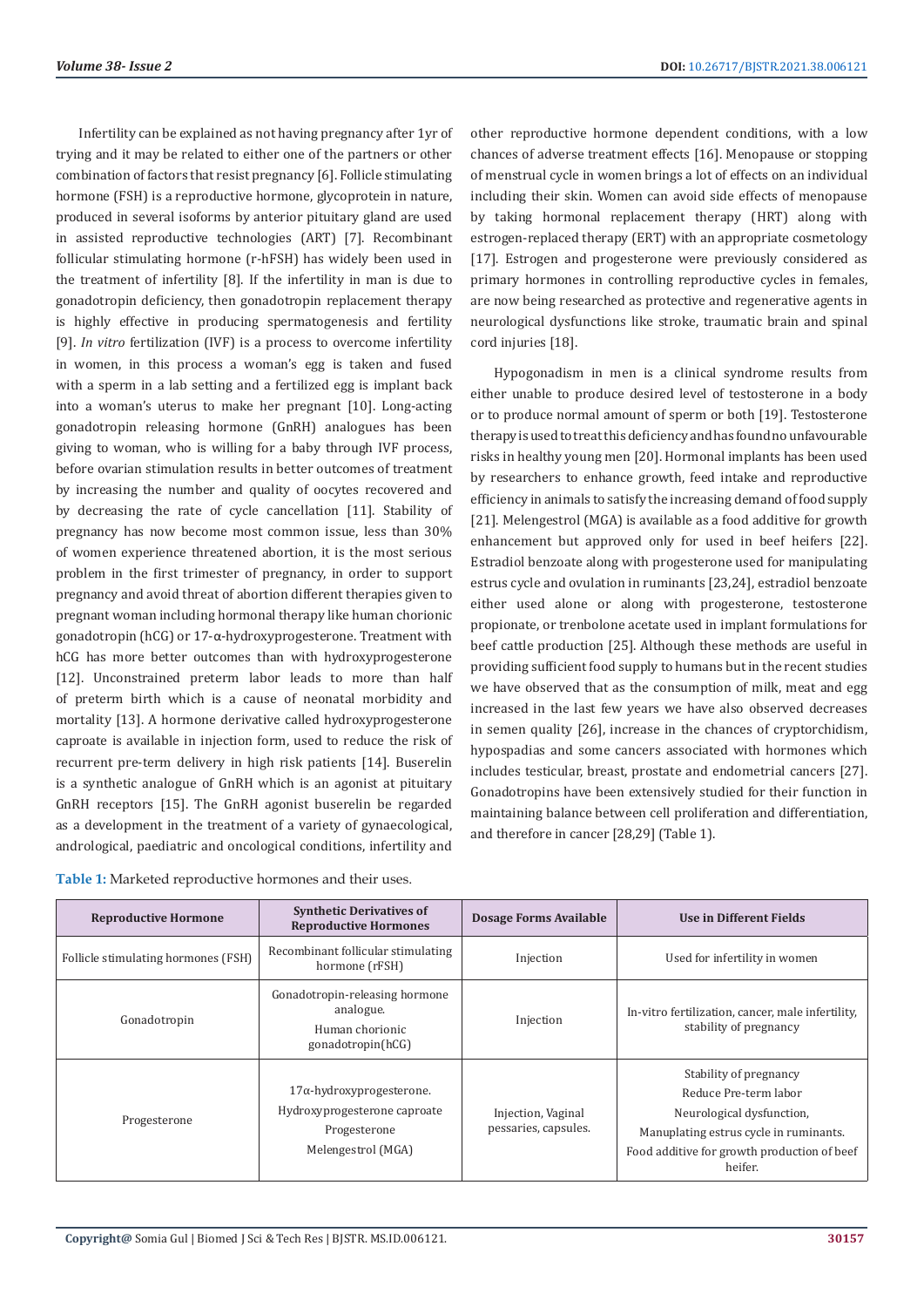Infertility can be explained as not having pregnancy after 1yr of trying and it may be related to either one of the partners or other combination of factors that resist pregnancy [6]. Follicle stimulating hormone (FSH) is a reproductive hormone, glycoprotein in nature, produced in several isoforms by anterior pituitary gland are used in assisted reproductive technologies (ART) [7]. Recombinant follicular stimulating hormone (r-hFSH) has widely been used in the treatment of infertility [8]. If the infertility in man is due to gonadotropin deficiency, then gonadotropin replacement therapy is highly effective in producing spermatogenesis and fertility [9]. *In vitro* fertilization (IVF) is a process to overcome infertility in women, in this process a woman's egg is taken and fused with a sperm in a lab setting and a fertilized egg is implant back into a woman's uterus to make her pregnant [10]. Long-acting gonadotropin releasing hormone (GnRH) analogues has been giving to woman, who is willing for a baby through IVF process, before ovarian stimulation results in better outcomes of treatment by increasing the number and quality of oocytes recovered and by decreasing the rate of cycle cancellation [11]. Stability of pregnancy has now become most common issue, less than 30% of women experience threatened abortion, it is the most serious problem in the first trimester of pregnancy, in order to support pregnancy and avoid threat of abortion different therapies given to pregnant woman including hormonal therapy like human chorionic gonadotropin (hCG) or 17-α-hydroxyprogesterone. Treatment with hCG has more better outcomes than with hydroxyprogesterone [12]. Unconstrained preterm labor leads to more than half of preterm birth which is a cause of neonatal morbidity and mortality [13]. A hormone derivative called hydroxyprogesterone caproate is available in injection form, used to reduce the risk of recurrent pre-term delivery in high risk patients [14]. Buserelin is a synthetic analogue of GnRH which is an agonist at pituitary GnRH receptors [15]. The GnRH agonist buserelin be regarded as a development in the treatment of a variety of gynaecological, andrological, paediatric and oncological conditions, infertility and

| Table 1: Marketed reproductive hormones and their uses. |
|---------------------------------------------------------|
|                                                         |

other reproductive hormone dependent conditions, with a low chances of adverse treatment effects [16]. Menopause or stopping of menstrual cycle in women brings a lot of effects on an individual including their skin. Women can avoid side effects of menopause by taking hormonal replacement therapy (HRT) along with estrogen-replaced therapy (ERT) with an appropriate cosmetology [17]. Estrogen and progesterone were previously considered as primary hormones in controlling reproductive cycles in females, are now being researched as protective and regenerative agents in neurological dysfunctions like stroke, traumatic brain and spinal cord injuries [18].

Hypogonadism in men is a clinical syndrome results from either unable to produce desired level of testosterone in a body or to produce normal amount of sperm or both [19]. Testosterone therapy is used to treat this deficiency and has found no unfavourable risks in healthy young men [20]. Hormonal implants has been used by researchers to enhance growth, feed intake and reproductive efficiency in animals to satisfy the increasing demand of food supply [21]. Melengestrol (MGA) is available as a food additive for growth enhancement but approved only for used in beef heifers [22]. Estradiol benzoate along with progesterone used for manipulating estrus cycle and ovulation in ruminants [23,24], estradiol benzoate either used alone or along with progesterone, testosterone propionate, or trenbolone acetate used in implant formulations for beef cattle production [25]. Although these methods are useful in providing sufficient food supply to humans but in the recent studies we have observed that as the consumption of milk, meat and egg increased in the last few years we have also observed decreases in semen quality [26], increase in the chances of cryptorchidism, hypospadias and some cancers associated with hormones which includes testicular, breast, prostate and endometrial cancers [27]. Gonadotropins have been extensively studied for their function in maintaining balance between cell proliferation and differentiation, and therefore in cancer [28,29] (Table 1).

| <b>Reproductive Hormone</b>         | <b>Synthetic Derivatives of</b><br><b>Reproductive Hormones</b>                                        | Dosage Forms Available                     | <b>Use in Different Fields</b>                                                                                                                                                   |
|-------------------------------------|--------------------------------------------------------------------------------------------------------|--------------------------------------------|----------------------------------------------------------------------------------------------------------------------------------------------------------------------------------|
| Follicle stimulating hormones (FSH) | Recombinant follicular stimulating<br>hormone (rFSH)                                                   | Injection                                  | Used for infertility in women                                                                                                                                                    |
| Gonadotropin                        | Gonadotropin-releasing hormone<br>analogue.<br>Human chorionic<br>gonadotropin(hCG)                    | Injection                                  | In-vitro fertilization, cancer, male infertility,<br>stability of pregnancy                                                                                                      |
| Progesterone                        | $17\alpha$ -hydroxyprogesterone.<br>Hydroxyprogesterone caproate<br>Progesterone<br>Melengestrol (MGA) | Injection, Vaginal<br>pessaries, capsules. | Stability of pregnancy<br>Reduce Pre-term labor<br>Neurological dysfunction,<br>Manuplating estrus cycle in ruminants.<br>Food additive for growth production of beef<br>heifer. |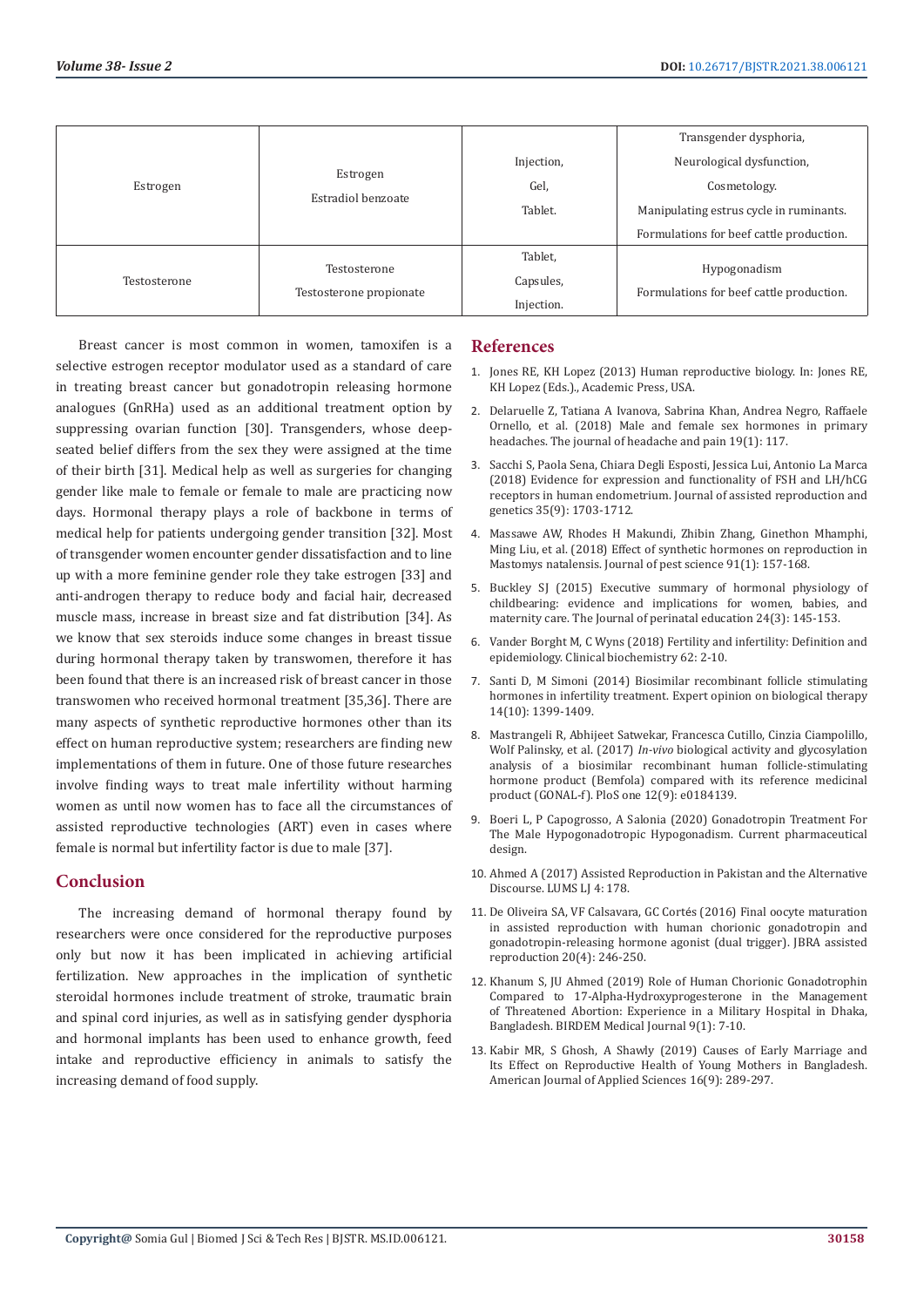| Estrogen     |                                |            | Transgender dysphoria,                   |
|--------------|--------------------------------|------------|------------------------------------------|
|              | Estrogen<br>Estradiol benzoate | Injection, | Neurological dysfunction,                |
|              |                                | Gel,       | Cosmetology.                             |
|              |                                | Tablet.    | Manipulating estrus cycle in ruminants.  |
|              |                                |            | Formulations for beef cattle production. |
|              | Testosterone                   | Tablet,    |                                          |
| Testosterone | Testosterone propionate        | Capsules,  | Hypogonadism                             |
|              |                                | Injection. | Formulations for beef cattle production. |

Breast cancer is most common in women, tamoxifen is a selective estrogen receptor modulator used as a standard of care in treating breast cancer but gonadotropin releasing hormone analogues (GnRHa) used as an additional treatment option by suppressing ovarian function [30]. Transgenders, whose deepseated belief differs from the sex they were assigned at the time of their birth [31]. Medical help as well as surgeries for changing gender like male to female or female to male are practicing now days. Hormonal therapy plays a role of backbone in terms of medical help for patients undergoing gender transition [32]. Most of transgender women encounter gender dissatisfaction and to line up with a more feminine gender role they take estrogen [33] and anti-androgen therapy to reduce body and facial hair, decreased muscle mass, increase in breast size and fat distribution [34]. As we know that sex steroids induce some changes in breast tissue during hormonal therapy taken by transwomen, therefore it has been found that there is an increased risk of breast cancer in those transwomen who received hormonal treatment [35,36]. There are many aspects of synthetic reproductive hormones other than its effect on human reproductive system; researchers are finding new implementations of them in future. One of those future researches involve finding ways to treat male infertility without harming women as until now women has to face all the circumstances of assisted reproductive technologies (ART) even in cases where female is normal but infertility factor is due to male [37].

# **Conclusion**

The increasing demand of hormonal therapy found by researchers were once considered for the reproductive purposes only but now it has been implicated in achieving artificial fertilization. New approaches in the implication of synthetic steroidal hormones include treatment of stroke, traumatic brain and spinal cord injuries, as well as in satisfying gender dysphoria and hormonal implants has been used to enhance growth, feed intake and reproductive efficiency in animals to satisfy the increasing demand of food supply.

## **References**

- 1. [Jones RE, KH Lopez \(2013\) Human reproductive biology. In: Jones RE,](https://www.elsevier.com/books/human-reproductive-biology/jones/978-0-08-050836-8) [KH Lopez \(Eds.\)., Academic Press, USA.](https://www.elsevier.com/books/human-reproductive-biology/jones/978-0-08-050836-8)
- 2. [Delaruelle Z, Tatiana A Ivanova, Sabrina Khan, Andrea Negro, Raffaele](https://thejournalofheadacheandpain.biomedcentral.com/articles/10.1186/s10194-018-0922-7) [Ornello, et al. \(2018\) Male and female sex hormones in primary](https://thejournalofheadacheandpain.biomedcentral.com/articles/10.1186/s10194-018-0922-7) [headaches. The journal of headache and pain 19\(1\): 117.](https://thejournalofheadacheandpain.biomedcentral.com/articles/10.1186/s10194-018-0922-7)
- 3. [Sacchi S, Paola Sena, Chiara Degli Esposti, Jessica Lui, Antonio La Marca](https://www.ncbi.nlm.nih.gov/pmc/articles/PMC6133814/) [\(2018\) Evidence for expression and functionality of FSH and LH/hCG](https://www.ncbi.nlm.nih.gov/pmc/articles/PMC6133814/) [receptors in human endometrium. Journal of assisted reproduction and](https://www.ncbi.nlm.nih.gov/pmc/articles/PMC6133814/) [genetics 35\(9\): 1703-1712.](https://www.ncbi.nlm.nih.gov/pmc/articles/PMC6133814/)
- 4. [Massawe AW, Rhodes H Makundi, Zhibin Zhang, Ginethon Mhamphi,](https://www.ncbi.nlm.nih.gov/pmc/articles/PMC5750330/) [Ming Liu, et al. \(2018\) Effect of synthetic hormones on reproduction in](https://www.ncbi.nlm.nih.gov/pmc/articles/PMC5750330/) [Mastomys natalensis. Journal of pest science 91\(1\): 157-168.](https://www.ncbi.nlm.nih.gov/pmc/articles/PMC5750330/)
- 5. [Buckley SJ \(2015\) Executive summary of hormonal physiology of](https://www.ncbi.nlm.nih.gov/pmc/articles/PMC4720867/) [childbearing: evidence and implications for women, babies, and](https://www.ncbi.nlm.nih.gov/pmc/articles/PMC4720867/) [maternity care. The Journal of perinatal education 24\(3\): 145-153.](https://www.ncbi.nlm.nih.gov/pmc/articles/PMC4720867/)
- 6. [Vander Borght M, C Wyns \(2018\) Fertility and infertility: Definition and](https://pubmed.ncbi.nlm.nih.gov/29555319/) [epidemiology. Clinical biochemistry 62: 2-10.](https://pubmed.ncbi.nlm.nih.gov/29555319/)
- 7. [Santi D, M Simoni \(2014\) Biosimilar recombinant follicle stimulating](https://pubmed.ncbi.nlm.nih.gov/24889801/) [hormones in infertility treatment. Expert opinion on biological therapy](https://pubmed.ncbi.nlm.nih.gov/24889801/) [14\(10\): 1399-1409.](https://pubmed.ncbi.nlm.nih.gov/24889801/)
- 8. [Mastrangeli R, Abhijeet Satwekar, Francesca Cutillo, Cinzia Ciampolillo,](https://journals.plos.org/plosone/article?id=10.1371/journal.pone.0184139) Wolf Palinsky, et al. (2017) *In-vivo* [biological activity and glycosylation](https://journals.plos.org/plosone/article?id=10.1371/journal.pone.0184139) [analysis of a biosimilar recombinant human follicle-stimulating](https://journals.plos.org/plosone/article?id=10.1371/journal.pone.0184139) [hormone product \(Bemfola\) compared with its reference medicinal](https://journals.plos.org/plosone/article?id=10.1371/journal.pone.0184139) [product \(GONAL-f\). PloS one 12\(9\): e0184139.](https://journals.plos.org/plosone/article?id=10.1371/journal.pone.0184139)
- 9. [Boeri L, P Capogrosso, A Salonia \(2020\) Gonadotropin Treatment For](https://pubmed.ncbi.nlm.nih.gov/32445446/) [The Male Hypogonadotropic Hypogonadism. Current pharmaceutical](https://pubmed.ncbi.nlm.nih.gov/32445446/) [design.](https://pubmed.ncbi.nlm.nih.gov/32445446/)
- 10. [Ahmed A \(2017\) Assisted Reproduction in Pakistan and the Alternative](https://sahsol.lums.edu.pk/law-journal/assisted-reproduction-pakistan-and-alternative-discourse) [Discourse. LUMS LJ 4: 178.](https://sahsol.lums.edu.pk/law-journal/assisted-reproduction-pakistan-and-alternative-discourse)
- 11. [De Oliveira SA, VF Calsavara, GC Cort](https://pubmed.ncbi.nlm.nih.gov/28050961/)és (2016) Final oocyte maturation [in assisted reproduction with human chorionic gonadotropin and](https://pubmed.ncbi.nlm.nih.gov/28050961/) [gonadotropin-releasing hormone agonist \(dual trigger\). JBRA assisted](https://pubmed.ncbi.nlm.nih.gov/28050961/) [reproduction 20\(4\): 246-250.](https://pubmed.ncbi.nlm.nih.gov/28050961/)
- 12. [Khanum S, JU Ahmed \(2019\) Role of Human Chorionic Gonadotrophin](https://www.banglajol.info/index.php/BIRDEM/article/view/39717) [Compared to 17-Alpha-Hydroxyprogesterone in the Management](https://www.banglajol.info/index.php/BIRDEM/article/view/39717) [of Threatened Abortion: Experience in a Military Hospital in Dhaka,](https://www.banglajol.info/index.php/BIRDEM/article/view/39717) [Bangladesh. BIRDEM Medical Journal 9\(1\): 7-10.](https://www.banglajol.info/index.php/BIRDEM/article/view/39717)
- 13. [Kabir MR, S Ghosh, A Shawly \(2019\) Causes of Early Marriage and](https://thescipub.com/abstract/10.3844/ajassp.2019.289.297) [Its Effect on Reproductive Health of Young Mothers in Bangladesh.](https://thescipub.com/abstract/10.3844/ajassp.2019.289.297) [American Journal of Applied Sciences 16\(9\): 289-297.](https://thescipub.com/abstract/10.3844/ajassp.2019.289.297)